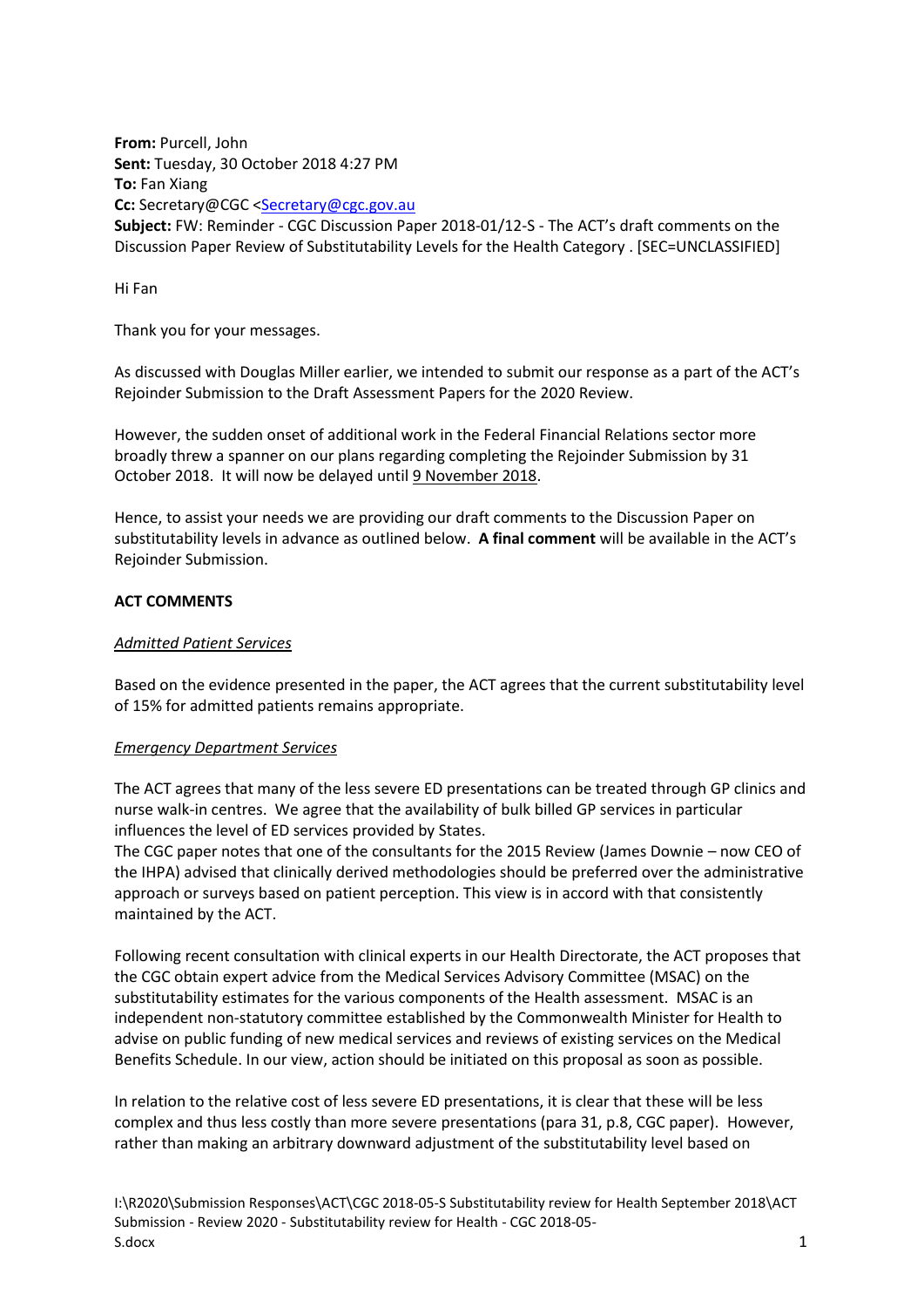**From:** Purcell, John **Sent:** Tuesday, 30 October 2018 4:27 PM **To:** Fan Xiang **Cc:** Secretary@CGC [<Secretary@cgc.gov.au](mailto:Secretary@cgc.gov.au)

**Subject:** FW: Reminder - CGC Discussion Paper 2018-01/12-S - The ACT's draft comments on the Discussion Paper Review of Substitutability Levels for the Health Category . [SEC=UNCLASSIFIED]

Hi Fan

Thank you for your messages.

As discussed with Douglas Miller earlier, we intended to submit our response as a part of the ACT's Rejoinder Submission to the Draft Assessment Papers for the 2020 Review.

However, the sudden onset of additional work in the Federal Financial Relations sector more broadly threw a spanner on our plans regarding completing the Rejoinder Submission by 31 October 2018. It will now be delayed until 9 November 2018.

Hence, to assist your needs we are providing our draft comments to the Discussion Paper on substitutability levels in advance as outlined below. **A final comment** will be available in the ACT's Rejoinder Submission.

# **ACT COMMENTS**

# *Admitted Patient Services*

Based on the evidence presented in the paper, the ACT agrees that the current substitutability level of 15% for admitted patients remains appropriate.

## *Emergency Department Services*

The ACT agrees that many of the less severe ED presentations can be treated through GP clinics and nurse walk-in centres. We agree that the availability of bulk billed GP services in particular influences the level of ED services provided by States.

The CGC paper notes that one of the consultants for the 2015 Review (James Downie – now CEO of the IHPA) advised that clinically derived methodologies should be preferred over the administrative approach or surveys based on patient perception. This view is in accord with that consistently maintained by the ACT.

Following recent consultation with clinical experts in our Health Directorate, the ACT proposes that the CGC obtain expert advice from the Medical Services Advisory Committee (MSAC) on the substitutability estimates for the various components of the Health assessment. MSAC is an independent non-statutory committee established by the Commonwealth Minister for Health to advise on public funding of new medical services and reviews of existing services on the Medical Benefits Schedule. In our view, action should be initiated on this proposal as soon as possible.

In relation to the relative cost of less severe ED presentations, it is clear that these will be less complex and thus less costly than more severe presentations (para 31, p.8, CGC paper). However, rather than making an arbitrary downward adjustment of the substitutability level based on